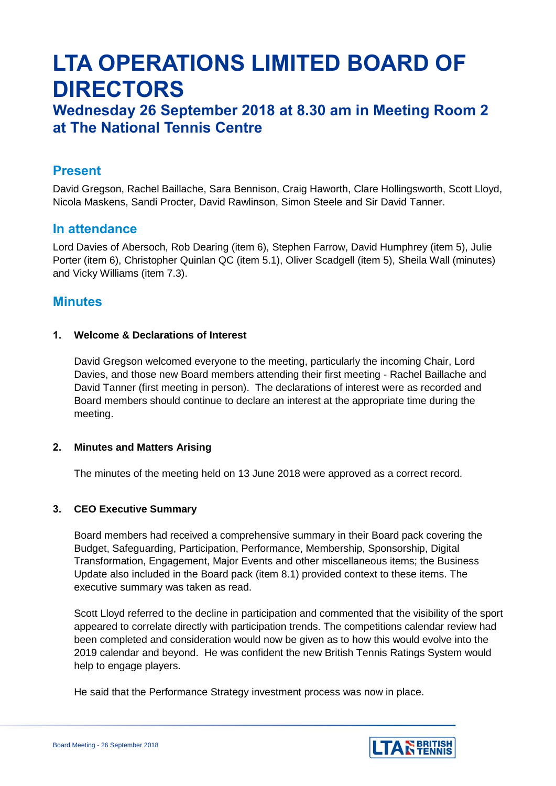# **LTA OPERATIONS LIMITED BOARD OF DIRECTORS**

# **Wednesday 26 September 2018 at 8.30 am in Meeting Room 2 at The National Tennis Centre**

# **Present**

David Gregson, Rachel Baillache, Sara Bennison, Craig Haworth, Clare Hollingsworth, Scott Lloyd, Nicola Maskens, Sandi Procter, David Rawlinson, Simon Steele and Sir David Tanner.

# **In attendance**

Lord Davies of Abersoch, Rob Dearing (item 6), Stephen Farrow, David Humphrey (item 5), Julie Porter (item 6), Christopher Quinlan QC (item 5.1), Oliver Scadgell (item 5), Sheila Wall (minutes) and Vicky Williams (item 7.3).

# **Minutes**

# **1. Welcome & Declarations of Interest**

David Gregson welcomed everyone to the meeting, particularly the incoming Chair, Lord Davies, and those new Board members attending their first meeting - Rachel Baillache and David Tanner (first meeting in person). The declarations of interest were as recorded and Board members should continue to declare an interest at the appropriate time during the meeting.

#### **2. Minutes and Matters Arising**

The minutes of the meeting held on 13 June 2018 were approved as a correct record.

# **3. CEO Executive Summary**

Board members had received a comprehensive summary in their Board pack covering the Budget, Safeguarding, Participation, Performance, Membership, Sponsorship, Digital Transformation, Engagement, Major Events and other miscellaneous items; the Business Update also included in the Board pack (item 8.1) provided context to these items. The executive summary was taken as read.

Scott Lloyd referred to the decline in participation and commented that the visibility of the sport appeared to correlate directly with participation trends. The competitions calendar review had been completed and consideration would now be given as to how this would evolve into the 2019 calendar and beyond. He was confident the new British Tennis Ratings System would help to engage players.

He said that the Performance Strategy investment process was now in place.

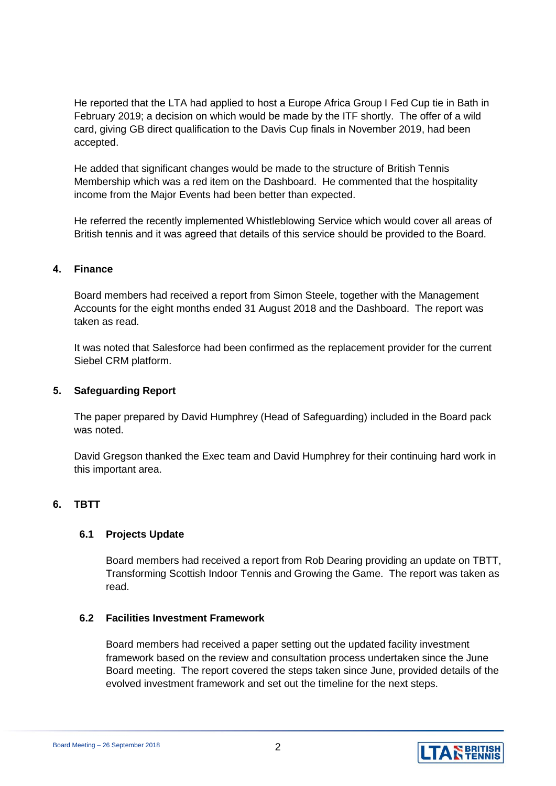He reported that the LTA had applied to host a Europe Africa Group I Fed Cup tie in Bath in February 2019; a decision on which would be made by the ITF shortly. The offer of a wild card, giving GB direct qualification to the Davis Cup finals in November 2019, had been accepted.

He added that significant changes would be made to the structure of British Tennis Membership which was a red item on the Dashboard. He commented that the hospitality income from the Major Events had been better than expected.

He referred the recently implemented Whistleblowing Service which would cover all areas of British tennis and it was agreed that details of this service should be provided to the Board.

### **4. Finance**

Board members had received a report from Simon Steele, together with the Management Accounts for the eight months ended 31 August 2018 and the Dashboard. The report was taken as read.

It was noted that Salesforce had been confirmed as the replacement provider for the current Siebel CRM platform.

# **5. Safeguarding Report**

The paper prepared by David Humphrey (Head of Safeguarding) included in the Board pack was noted.

David Gregson thanked the Exec team and David Humphrey for their continuing hard work in this important area.

# **6. TBTT**

#### **6.1 Projects Update**

Board members had received a report from Rob Dearing providing an update on TBTT, Transforming Scottish Indoor Tennis and Growing the Game. The report was taken as read.

#### **6.2 Facilities Investment Framework**

Board members had received a paper setting out the updated facility investment framework based on the review and consultation process undertaken since the June Board meeting. The report covered the steps taken since June, provided details of the evolved investment framework and set out the timeline for the next steps.

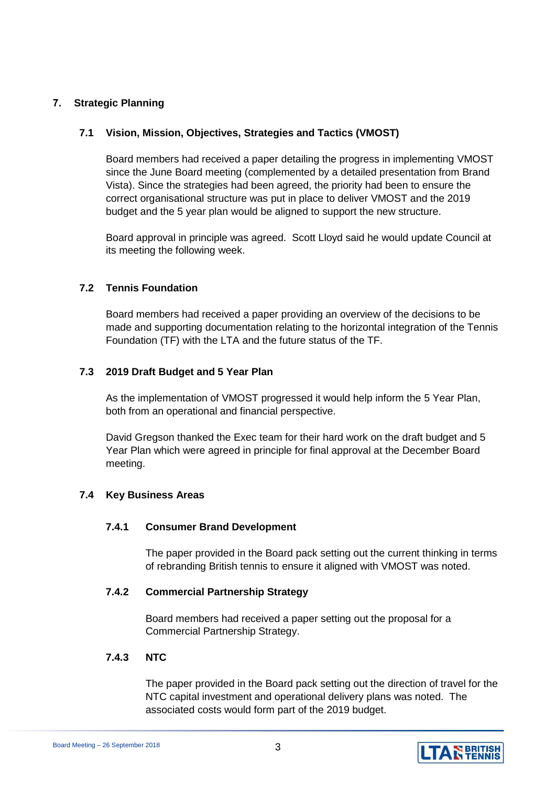# **7. Strategic Planning**

# **7.1 Vision, Mission, Objectives, Strategies and Tactics (VMOST)**

Board members had received a paper detailing the progress in implementing VMOST since the June Board meeting (complemented by a detailed presentation from Brand Vista). Since the strategies had been agreed, the priority had been to ensure the correct organisational structure was put in place to deliver VMOST and the 2019 budget and the 5 year plan would be aligned to support the new structure.

Board approval in principle was agreed. Scott Lloyd said he would update Council at its meeting the following week.

# **7.2 Tennis Foundation**

Board members had received a paper providing an overview of the decisions to be made and supporting documentation relating to the horizontal integration of the Tennis Foundation (TF) with the LTA and the future status of the TF.

# **7.3 2019 Draft Budget and 5 Year Plan**

As the implementation of VMOST progressed it would help inform the 5 Year Plan, both from an operational and financial perspective.

David Gregson thanked the Exec team for their hard work on the draft budget and 5 Year Plan which were agreed in principle for final approval at the December Board meeting.

#### **7.4 Key Business Areas**

#### **7.4.1 Consumer Brand Development**

The paper provided in the Board pack setting out the current thinking in terms of rebranding British tennis to ensure it aligned with VMOST was noted.

### **7.4.2 Commercial Partnership Strategy**

Board members had received a paper setting out the proposal for a Commercial Partnership Strategy.

#### **7.4.3 NTC**

The paper provided in the Board pack setting out the direction of travel for the NTC capital investment and operational delivery plans was noted. The associated costs would form part of the 2019 budget.

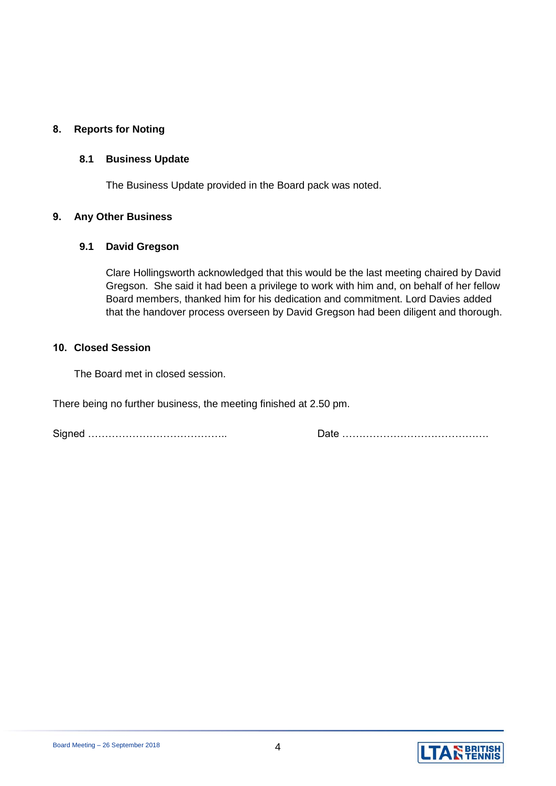# **8. Reports for Noting**

# **8.1 Business Update**

The Business Update provided in the Board pack was noted.

# **9. Any Other Business**

# **9.1 David Gregson**

Clare Hollingsworth acknowledged that this would be the last meeting chaired by David Gregson. She said it had been a privilege to work with him and, on behalf of her fellow Board members, thanked him for his dedication and commitment. Lord Davies added that the handover process overseen by David Gregson had been diligent and thorough.

#### **10. Closed Session**

The Board met in closed session.

There being no further business, the meeting finished at 2.50 pm.

Signed ………………………………….. Date …………………………………….

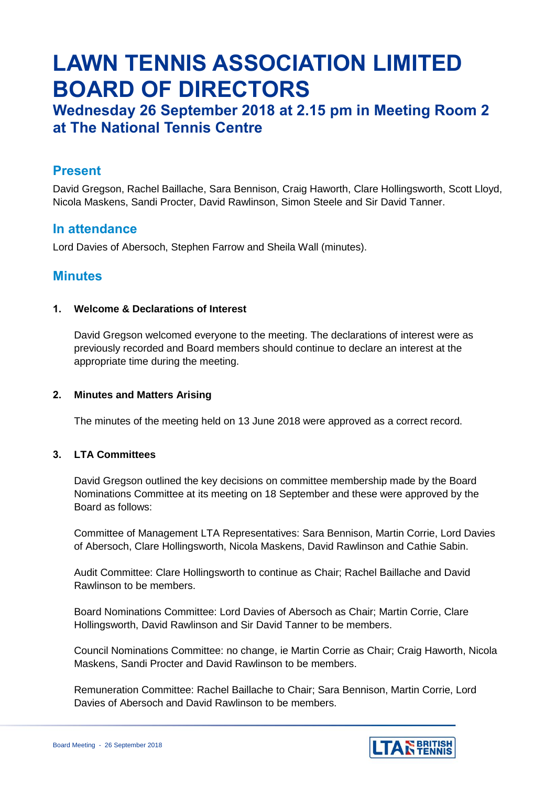# **LAWN TENNIS ASSOCIATION LIMITED BOARD OF DIRECTORS**

# **Wednesday 26 September 2018 at 2.15 pm in Meeting Room 2 at The National Tennis Centre**

# **Present**

David Gregson, Rachel Baillache, Sara Bennison, Craig Haworth, Clare Hollingsworth, Scott Lloyd, Nicola Maskens, Sandi Procter, David Rawlinson, Simon Steele and Sir David Tanner.

# **In attendance**

Lord Davies of Abersoch, Stephen Farrow and Sheila Wall (minutes).

# **Minutes**

# **1. Welcome & Declarations of Interest**

David Gregson welcomed everyone to the meeting. The declarations of interest were as previously recorded and Board members should continue to declare an interest at the appropriate time during the meeting.

### **2. Minutes and Matters Arising**

The minutes of the meeting held on 13 June 2018 were approved as a correct record.

# **3. LTA Committees**

David Gregson outlined the key decisions on committee membership made by the Board Nominations Committee at its meeting on 18 September and these were approved by the Board as follows:

Committee of Management LTA Representatives: Sara Bennison, Martin Corrie, Lord Davies of Abersoch, Clare Hollingsworth, Nicola Maskens, David Rawlinson and Cathie Sabin.

Audit Committee: Clare Hollingsworth to continue as Chair; Rachel Baillache and David Rawlinson to be members.

Board Nominations Committee: Lord Davies of Abersoch as Chair; Martin Corrie, Clare Hollingsworth, David Rawlinson and Sir David Tanner to be members.

Council Nominations Committee: no change, ie Martin Corrie as Chair; Craig Haworth, Nicola Maskens, Sandi Procter and David Rawlinson to be members.

Remuneration Committee: Rachel Baillache to Chair; Sara Bennison, Martin Corrie, Lord Davies of Abersoch and David Rawlinson to be members.